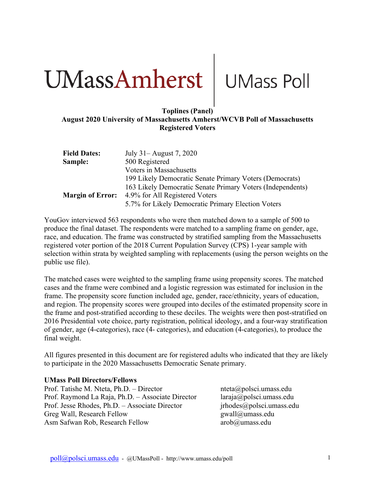# **The UMass Amherst** UMass Poll

# **August 2020 University of Massachusetts Amherst/WCVB Poll of Massachusetts Registered Voters**

| <b>Field Dates:</b>     | July 31 – August 7, 2020                                   |
|-------------------------|------------------------------------------------------------|
| Sample:                 | 500 Registered                                             |
|                         | Voters in Massachusetts                                    |
|                         | 199 Likely Democratic Senate Primary Voters (Democrats)    |
|                         | 163 Likely Democratic Senate Primary Voters (Independents) |
| <b>Margin of Error:</b> | 4.9% for All Registered Voters                             |
|                         | 5.7% for Likely Democratic Primary Election Voters         |

YouGov interviewed 563 respondents who were then matched down to a sample of 500 to produce the final dataset. The respondents were matched to a sampling frame on gender, age, race, and education. The frame was constructed by stratified sampling from the Massachusetts registered voter portion of the 2018 Current Population Survey (CPS) 1-year sample with selection within strata by weighted sampling with replacements (using the person weights on the public use file).

The matched cases were weighted to the sampling frame using propensity scores. The matched cases and the frame were combined and a logistic regression was estimated for inclusion in the frame. The propensity score function included age, gender, race/ethnicity, years of education, and region. The propensity scores were grouped into deciles of the estimated propensity score in the frame and post-stratified according to these deciles. The weights were then post-stratified on 2016 Presidential vote choice, party registration, political ideology, and a four-way stratification of gender, age (4-categories), race (4- categories), and education (4-categories), to produce the final weight.

All figures presented in this document are for registered adults who indicated that they are likely to participate in the 2020 Massachusetts Democratic Senate primary.

# **UMass Poll Directors/Fellows**

Prof. Tatishe M. Nteta, Ph.D. – Director nteta apolsci.umass.edu Prof. Raymond La Raja, Ph.D. – Associate Director laraja@polsci.umass.edu Prof. Jesse Rhodes, Ph.D. – Associate Director jrhodes@polsci.umass.edu Greg Wall, Research Fellow gwall@umass.edu Asm Safwan Rob, Research Fellow arob@umass.edu